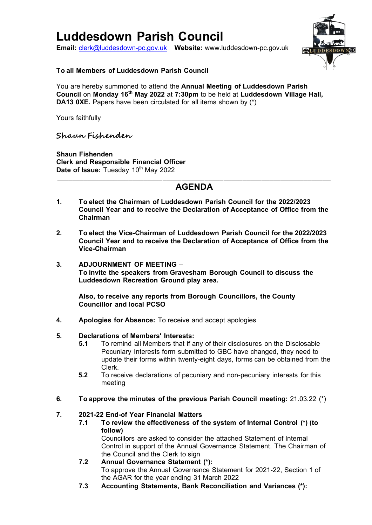# **Luddesdown Parish Council**

**Email:** [clerk@luddesdown-pc.gov.uk](mailto:clerk@luddesdown-pc.gov.uk) **Website:** www.luddesdown-pc.gov.uk



## **To all Members of Luddesdown Parish Council**

You are hereby summoned to attend the **Annual Meeting of Luddesdown Parish Council** on **Monday 16th May 2022** at **7:30pm** to be held at **Luddesdown Village Hall, DA13 0XE.** Papers have been circulated for all items shown by (\*)

Yours faithfully

## **Shaun Fishenden**

**Shaun Fishenden Clerk and Responsible Financial Officer** Date of Issue: Tuesday 10<sup>th</sup> May 2022

## **\_\_\_\_\_\_\_\_\_\_\_\_\_\_\_\_\_\_\_\_\_\_\_\_\_\_\_\_\_\_\_\_\_\_\_\_\_\_\_\_\_\_\_\_\_\_\_\_\_\_\_\_\_\_\_\_\_\_\_\_\_\_\_\_\_\_\_\_\_\_\_\_ AGENDA**

- **1. To elect the Chairman of Luddesdown Parish Council for the 2022/2023 Council Year and to receive the Declaration of Acceptance of Office from the Chairman**
- **2. To elect the Vice-Chairman of Luddesdown Parish Council for the 2022/2023 Council Year and to receive the Declaration of Acceptance of Office from the Vice-Chairman**
- **3. ADJOURNMENT OF MEETING – To invite the speakers from Gravesham Borough Council to discuss the Luddesdown Recreation Ground play area.**

**Also, to receive any reports from Borough Councillors, the County Councillor and local PCSO**

**4. Apologies for Absence:** To receive and accept apologies

## **5. Declarations of Members' Interests:**

- **5.1** To remind all Members that if any of their disclosures on the Disclosable Pecuniary Interests form submitted to GBC have changed, they need to update their forms within twenty-eight days, forms can be obtained from the Clerk.
- **5.2** To receive declarations of pecuniary and non-pecuniary interests for this meeting
- **6. To approve the minutes of the previous Parish Council meeting:** 21.03.22 (\*)

## **7. 2021-22 End-of Year Financial Matters**

**7.1 To review the effectiveness of the system of Internal Control (\*) (to follow)**

Councillors are asked to consider the attached Statement of Internal Control in support of the Annual Governance Statement. The Chairman of the Council and the Clerk to sign

- **7.2 Annual Governance Statement (\*):**  To approve the Annual Governance Statement for 2021-22, Section 1 of the AGAR for the year ending 31 March 2022
- **7.3 Accounting Statements, Bank Reconciliation and Variances (\*):**